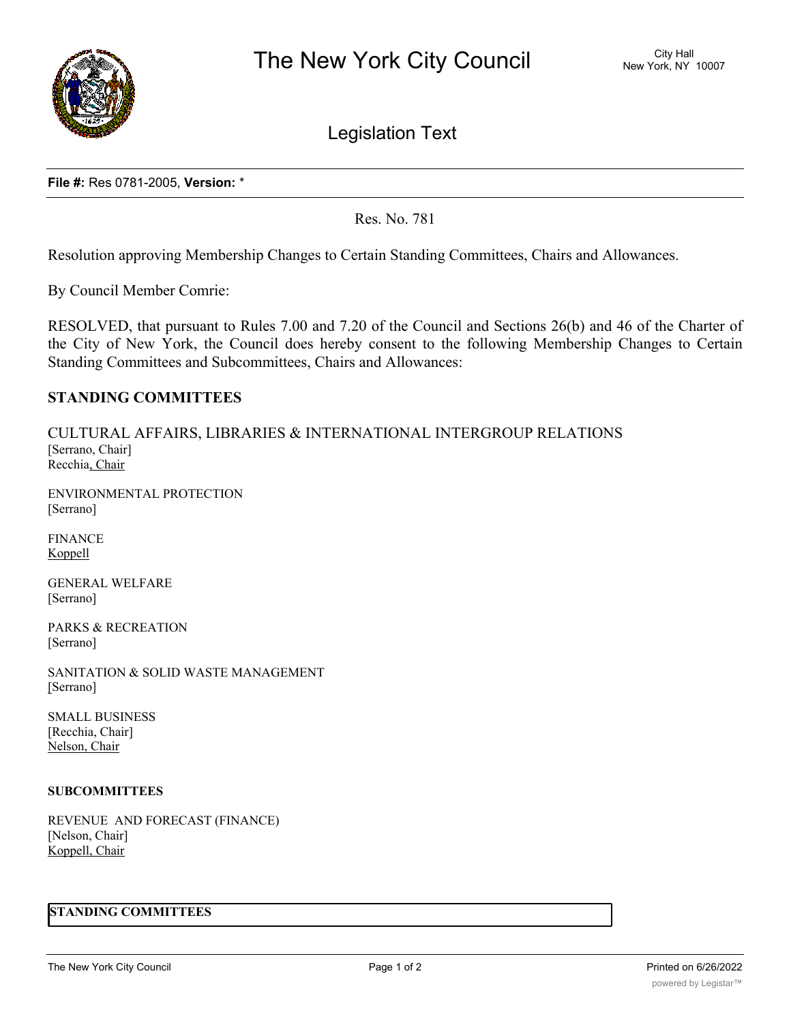

Legislation Text

**File #:** Res 0781-2005, **Version:** \*

Res. No. 781

Resolution approving Membership Changes to Certain Standing Committees, Chairs and Allowances.

By Council Member Comrie:

RESOLVED, that pursuant to Rules 7.00 and 7.20 of the Council and Sections 26(b) and 46 of the Charter of the City of New York, the Council does hereby consent to the following Membership Changes to Certain Standing Committees and Subcommittees, Chairs and Allowances:

# **STANDING COMMITTEES**

CULTURAL AFFAIRS, LIBRARIES & INTERNATIONAL INTERGROUP RELATIONS [Serrano, Chair] Recchia, Chair

ENVIRONMENTAL PROTECTION [Serrano]

FINANCE Koppell

GENERAL WELFARE [Serrano]

PARKS & RECREATION [Serrano]

SANITATION & SOLID WASTE MANAGEMENT [Serrano]

SMALL BUSINESS [Recchia, Chair] Nelson, Chair

#### **SUBCOMMITTEES**

REVENUE AND FORECAST (FINANCE) [Nelson, Chair] Koppell, Chair

### **STANDING COMMITTEES**